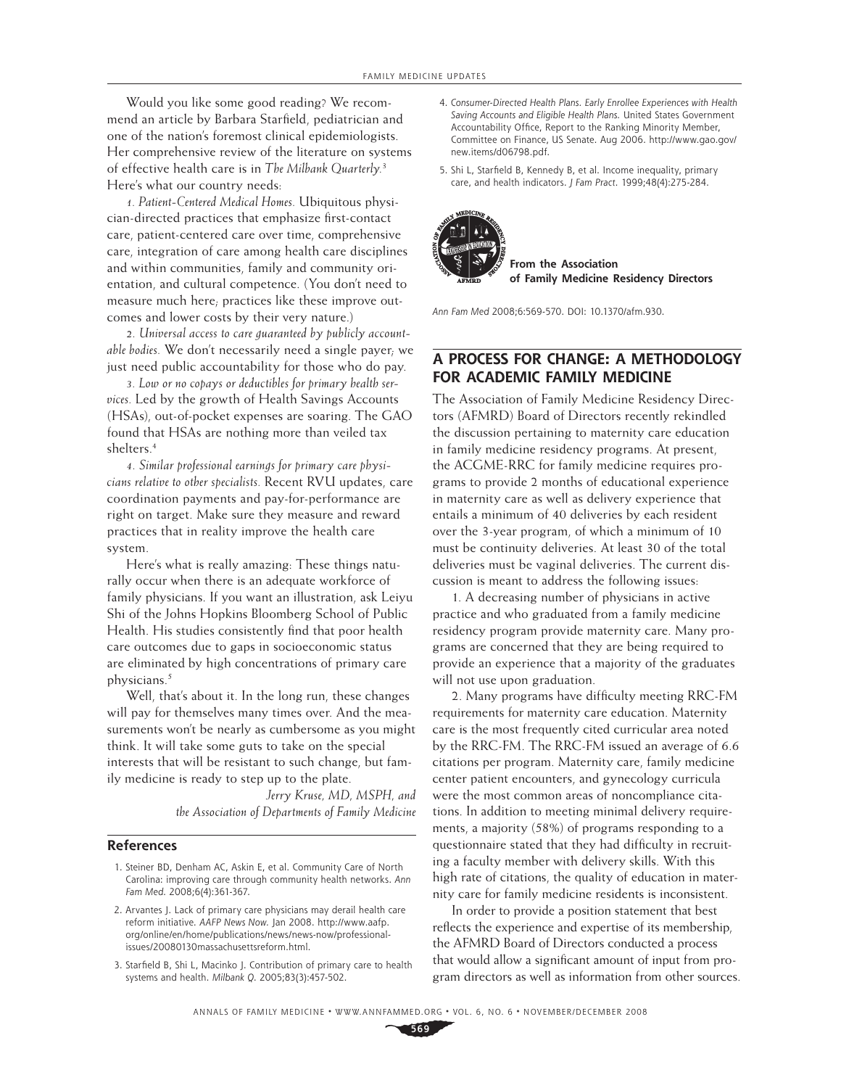Would you like some good reading? We recommend an article by Barbara Starfield, pediatrician and one of the nation's foremost clinical epidemiologists. Her comprehensive review of the literature on systems of effective health care is in *The Milbank Quarterly.*<sup>3</sup> Here's what our country needs:

*1. Patient-Centered Medical Homes.* Ubiquitous physician-directed practices that emphasize first-contact care, patient-centered care over time, comprehensive care, integration of care among health care disciplines and within communities, family and community orientation, and cultural competence. (You don't need to measure much here; practices like these improve outcomes and lower costs by their very nature.)

*2. Universal access to care guaranteed by publicly accountable bodies.* We don't necessarily need a single payer; we just need public accountability for those who do pay.

*3. Low or no copays or deductibles for primary health services.* Led by the growth of Health Savings Accounts (HSAs), out-of-pocket expenses are soaring. The GAO found that HSAs are nothing more than veiled tax shelters.4

*4. Similar professional earnings for primary care physicians relative to other specialists.* Recent RVU updates, care coordination payments and pay-for-performance are right on target. Make sure they measure and reward practices that in reality improve the health care system.

Here's what is really amazing: These things naturally occur when there is an adequate workforce of family physicians. If you want an illustration, ask Leiyu Shi of the Johns Hopkins Bloomberg School of Public Health. His studies consistently find that poor health care outcomes due to gaps in socioeconomic status are eliminated by high concentrations of primary care physicians.5

Well, that's about it. In the long run, these changes will pay for themselves many times over. And the measurements won't be nearly as cumbersome as you might think. It will take some guts to take on the special interests that will be resistant to such change, but family medicine is ready to step up to the plate.

> *Jerry Kruse, MD, MSPH, and the Association of Departments of Family Medicine*

## **References**

- 1. Steiner BD, Denham AC, Askin E, et al. Community Care of North Carolina: improving care through community health networks. Ann Fam Med. 2008;6(4):361-367.
- 2. Arvantes J. Lack of primary care physicians may derail health care reform initiative. AAFP News Now. Jan 2008. http://www.aafp. org/online/en/home/publications/news/news-now/professionalissues/20080130massachusettsreform.html.
- 3. Starfield B, Shi L, Macinko J. Contribution of primary care to health systems and health. Milbank Q. 2005;83(3):457-502.
- 4. Consumer-Directed Health Plans. Early Enrollee Experiences with Health Saving Accounts and Eligible Health Plans. United States Government Accountability Office, Report to the Ranking Minority Member, Committee on Finance, US Senate. Aug 2006. http://www.gao.gov/ new.items/d06798.pdf.
- 5. Shi L, Starfield B, Kennedy B, et al. Income inequality, primary care, and health indicators. J Fam Pract. 1999;48(4):275-284.



 **of Family Medicine Residency Directors From the Association** 

Ann Fam Med 2008;6:569-570. DOI: 10.1370/afm.930.

## **A PROCESS FOR CHANGE: A METHODOLOGY FOR ACADEMIC FAMILY MEDICINE**

The Association of Family Medicine Residency Directors (AFMRD) Board of Directors recently rekindled the discussion pertaining to maternity care education in family medicine residency programs. At present, the ACGME-RRC for family medicine requires programs to provide 2 months of educational experience in maternity care as well as delivery experience that entails a minimum of 40 deliveries by each resident over the 3-year program, of which a minimum of 10 must be continuity deliveries. At least 30 of the total deliveries must be vaginal deliveries. The current discussion is meant to address the following issues:

1. A decreasing number of physicians in active practice and who graduated from a family medicine residency program provide maternity care. Many programs are concerned that they are being required to provide an experience that a majority of the graduates will not use upon graduation.

2. Many programs have difficulty meeting RRC-FM requirements for maternity care education. Maternity care is the most frequently cited curricular area noted by the RRC-FM. The RRC-FM issued an average of 6.6 citations per program. Maternity care, family medicine center patient encounters, and gynecology curricula were the most common areas of noncompliance citations. In addition to meeting minimal delivery requirements, a majority (58%) of programs responding to a questionnaire stated that they had difficulty in recruiting a faculty member with delivery skills. With this high rate of citations, the quality of education in maternity care for family medicine residents is inconsistent.

In order to provide a position statement that best reflects the experience and expertise of its membership, the AFMRD Board of Directors conducted a process that would allow a significant amount of input from program directors as well as information from other sources.

ANNALS OF FAMILY MEDICINE ✦ WWW.ANNFAMMED.ORG ✦ VOL. 6, NO. 6 ✦ NOVEMBER/DECEMBER 2008